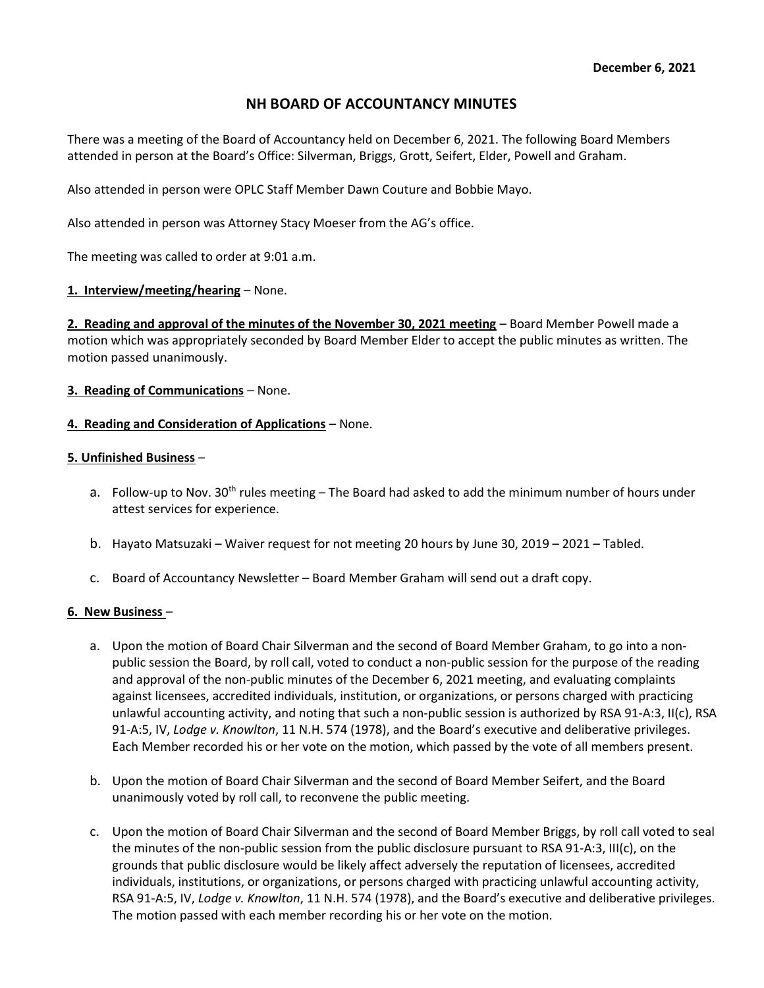# NH BOARD OF ACCOUNTANCY MINUTES

There was a meeting of the Board of Accountancy held on December 6, 2021. The following Board Members attended in person at the Board's Office: Silverman, Briggs, Grott, Seifert, Elder, Powell and Graham.

Also attended in person were OPLC Staff Member Dawn Couture and Bobbie Mayo.

Also attended in person was Attorney Stacy Moeser from the AG's office.

The meeting was called to order at 9:01 a.m.

## 1. Interview/meeting/hearing - None.

2. Reading and approval of the minutes of the November 30, 2021 meeting – Board Member Powell made a motion which was appropriately seconded by Board Member Elder to accept the public minutes as written. The motion passed unanimously.

3. Reading of Communications – None.

## 4. Reading and Consideration of Applications - None.

## 5. Unfinished Business –

- a. Follow-up to Nov.  $30<sup>th</sup>$  rules meeting The Board had asked to add the minimum number of hours under attest services for experience.
- b. Hayato Matsuzaki Waiver request for not meeting 20 hours by June 30, 2019 2021 Tabled.
- c. Board of Accountancy Newsletter Board Member Graham will send out a draft copy.

#### 6. New Business –

- a. Upon the motion of Board Chair Silverman and the second of Board Member Graham, to go into a nonpublic session the Board, by roll call, voted to conduct a non-public session for the purpose of the reading and approval of the non-public minutes of the December 6, 2021 meeting, and evaluating complaints against licensees, accredited individuals, institution, or organizations, or persons charged with practicing unlawful accounting activity, and noting that such a non-public session is authorized by RSA 91-A:3, II(c), RSA 91-A:5, IV, Lodge v. Knowlton, 11 N.H. 574 (1978), and the Board's executive and deliberative privileges. Each Member recorded his or her vote on the motion, which passed by the vote of all members present.
- b. Upon the motion of Board Chair Silverman and the second of Board Member Seifert, and the Board unanimously voted by roll call, to reconvene the public meeting.
- c. Upon the motion of Board Chair Silverman and the second of Board Member Briggs, by roll call voted to seal the minutes of the non-public session from the public disclosure pursuant to RSA 91-A:3, III(c), on the grounds that public disclosure would be likely affect adversely the reputation of licensees, accredited individuals, institutions, or organizations, or persons charged with practicing unlawful accounting activity, RSA 91-A:5, IV, Lodge v. Knowlton, 11 N.H. 574 (1978), and the Board's executive and deliberative privileges. The motion passed with each member recording his or her vote on the motion.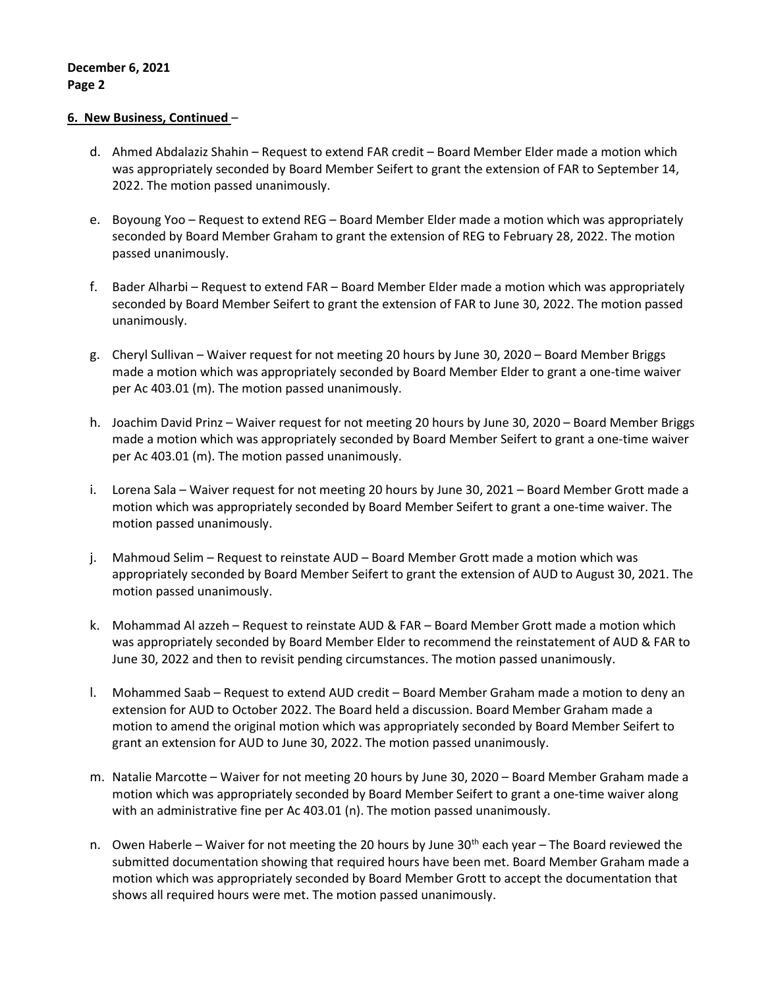## 6. New Business, Continued –

- d. Ahmed Abdalaziz Shahin Request to extend FAR credit Board Member Elder made a motion which was appropriately seconded by Board Member Seifert to grant the extension of FAR to September 14, 2022. The motion passed unanimously.
- e. Boyoung Yoo Request to extend REG Board Member Elder made a motion which was appropriately seconded by Board Member Graham to grant the extension of REG to February 28, 2022. The motion passed unanimously.
- f. Bader Alharbi Request to extend FAR Board Member Elder made a motion which was appropriately seconded by Board Member Seifert to grant the extension of FAR to June 30, 2022. The motion passed unanimously.
- g. Cheryl Sullivan Waiver request for not meeting 20 hours by June 30, 2020 Board Member Briggs made a motion which was appropriately seconded by Board Member Elder to grant a one-time waiver per Ac 403.01 (m). The motion passed unanimously.
- h. Joachim David Prinz Waiver request for not meeting 20 hours by June 30, 2020 Board Member Briggs made a motion which was appropriately seconded by Board Member Seifert to grant a one-time waiver per Ac 403.01 (m). The motion passed unanimously.
- i. Lorena Sala Waiver request for not meeting 20 hours by June 30, 2021 Board Member Grott made a motion which was appropriately seconded by Board Member Seifert to grant a one-time waiver. The motion passed unanimously.
- j. Mahmoud Selim Request to reinstate AUD Board Member Grott made a motion which was appropriately seconded by Board Member Seifert to grant the extension of AUD to August 30, 2021. The motion passed unanimously.
- k. Mohammad Al azzeh Request to reinstate AUD & FAR Board Member Grott made a motion which was appropriately seconded by Board Member Elder to recommend the reinstatement of AUD & FAR to June 30, 2022 and then to revisit pending circumstances. The motion passed unanimously.
- l. Mohammed Saab Request to extend AUD credit Board Member Graham made a motion to deny an extension for AUD to October 2022. The Board held a discussion. Board Member Graham made a motion to amend the original motion which was appropriately seconded by Board Member Seifert to grant an extension for AUD to June 30, 2022. The motion passed unanimously.
- m. Natalie Marcotte Waiver for not meeting 20 hours by June 30, 2020 Board Member Graham made a motion which was appropriately seconded by Board Member Seifert to grant a one-time waiver along with an administrative fine per Ac 403.01 (n). The motion passed unanimously.
- n. Owen Haberle Waiver for not meeting the 20 hours by June 30<sup>th</sup> each year The Board reviewed the submitted documentation showing that required hours have been met. Board Member Graham made a motion which was appropriately seconded by Board Member Grott to accept the documentation that shows all required hours were met. The motion passed unanimously.